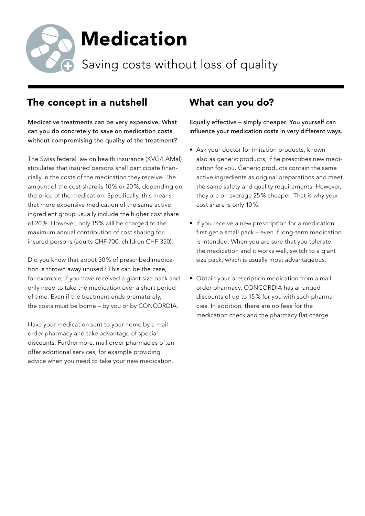

## The concept in a nutshell

Medicative treatments can be very expensive. What can you do concretely to save on medication costs without compromising the quality of the treatment?

The Swiss federal law on health insurance (KVG/LAMal) stipulates that insured persons shall participate financially in the costs of the medication they receive. The amount of the cost share is 10 % or 20 %, depending on the price of the medication. Specifically, this means that more expensive medication of the same active ingredient group usually include the higher cost share of 20 %. However, only 15 % will be charged to the maximum annual contribution of cost sharing for insured persons (adults CHF 700, children CHF 350).

Did you know that about 30 % of prescribed medication is thrown away unused? This can be the case, for example, if you have received a giant size pack and only need to take the medication over a short period of time. Even if the treatment ends prematurely, the costs must be borne – by you or by CONCORDIA.

Have your medication sent to your home by a mail order pharmacy and take advantage of special discounts. Furthermore, mail order pharmacies often offer additional services, for example providing advice when you need to take your new medication.

## What can you do?

Equally effective – simply cheaper. You yourself can influence your medication costs in very different ways.

- Ask your doctor for imitation products, known also as generic products, if he prescribes new medication for you. Generic products contain the same active ingredients as original preparations and meet the same safety and quality requirements. However, they are on average 25 % cheaper. That is why your cost share is only 10 %.
- If you receive a new prescription for a medication, first get a small pack – even if long-term medication is intended. When you are sure that you tolerate the medication and it works well, switch to a giant size pack, which is usually most advantageous.
- Obtain your prescription medication from a mail order pharmacy. CONCORDIA has arranged discounts of up to 15 % for you with such pharmacies. In addition, there are no fees for the medication check and the pharmacy flat charge.